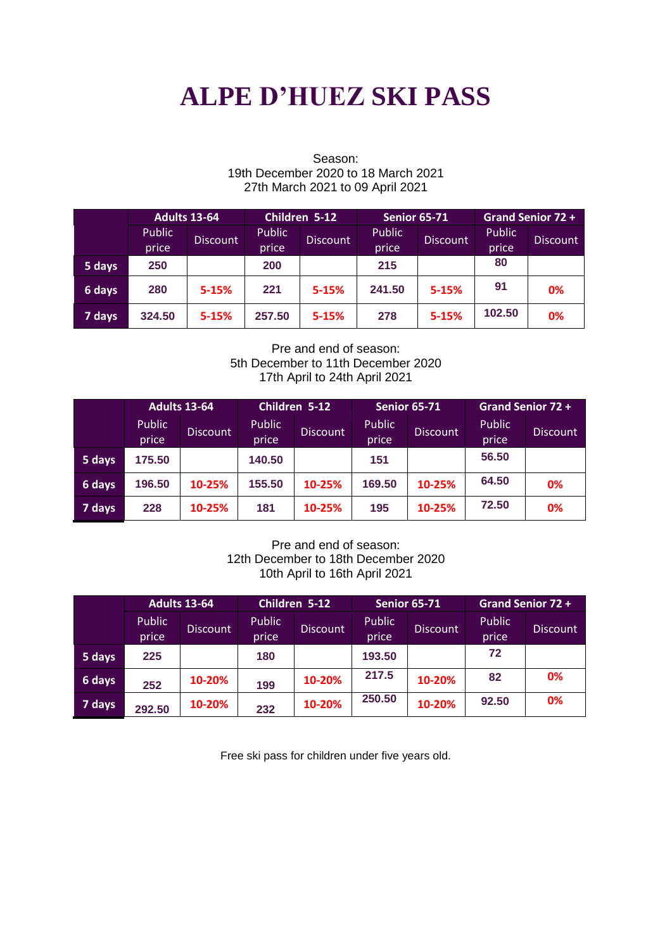# **ALPE D'HUEZ SKI PASS**

|        | <b>Adults 13-64</b> |           |                          | Children 5-12 |        | <b>Senior 65-71</b> |                 | Grand Senior 72 + |  |
|--------|---------------------|-----------|--------------------------|---------------|--------|---------------------|-----------------|-------------------|--|
|        | Public              | Discount  | Public                   |               | Public | <b>Discount</b>     | <b>Public</b>   |                   |  |
|        | price               |           | <b>Discount</b><br>price | price         |        | price               | <b>Discount</b> |                   |  |
| 5 days | 250                 |           | 200                      |               | 215    |                     | 80              |                   |  |
| 6 days | 280                 | $5 - 15%$ | 221                      | $5 - 15%$     | 241.50 | $5 - 15%$           | 91              | 0%                |  |
| 7 days | 324.50              | $5 - 15%$ | 257.50                   | $5 - 15%$     | 278    | $5 - 15%$           | 102.50          | 0%                |  |

#### Season: 19th December 2020 to 18 March 2021 27th March 2021 to 09 April 2021

Pre and end of season: 5th December to 11th December 2020 17th April to 24th April 2021

|        | <b>Adults 13-64</b> |          | Children 5-12 |                 | <b>Senior 65-71</b> |                 | <b>Grand Senior 72 +</b> |          |
|--------|---------------------|----------|---------------|-----------------|---------------------|-----------------|--------------------------|----------|
|        | <b>Public</b>       | Discount | <b>Public</b> | <b>Discount</b> | <b>Public</b>       | <b>Discount</b> | <b>Public</b>            | Discount |
|        | price               |          | price         |                 | price               |                 | price                    |          |
| 5 days | 175.50              |          | 140.50        |                 | 151                 |                 | 56.50                    |          |
| 6 days | 196.50              | 10-25%   | 155.50        | 10-25%          | 169.50              | 10-25%          | 64.50                    | 0%       |
| 7 days | 228                 | 10-25%   | 181           | 10-25%          | 195                 | 10-25%          | 72.50                    | 0%       |

#### Pre and end of season: 12th December to 18th December 2020 10th April to 16th April 2021

|        | <b>Adults 13-64</b> |                 | Children 5-12          |                 | <b>Senior 65-71</b> |                 | Grand Senior 72 +      |          |
|--------|---------------------|-----------------|------------------------|-----------------|---------------------|-----------------|------------------------|----------|
|        | Public<br>price     | <b>Discount</b> | <b>Public</b><br>price | <b>Discount</b> | Public<br>price     | <b>Discount</b> | <b>Public</b><br>price | Discount |
| 5 days | 225                 |                 | 180                    |                 | 193.50              |                 | 72                     |          |
| 6 days | 252                 | 10-20%          | 199                    | 10-20%          | 217.5               | 10-20%          | 82                     | 0%       |
| 7 days | 292.50              | 10-20%          | 232                    | 10-20%          | 250.50              | 10-20%          | 92.50                  | 0%       |

Free ski pass for children under five years old.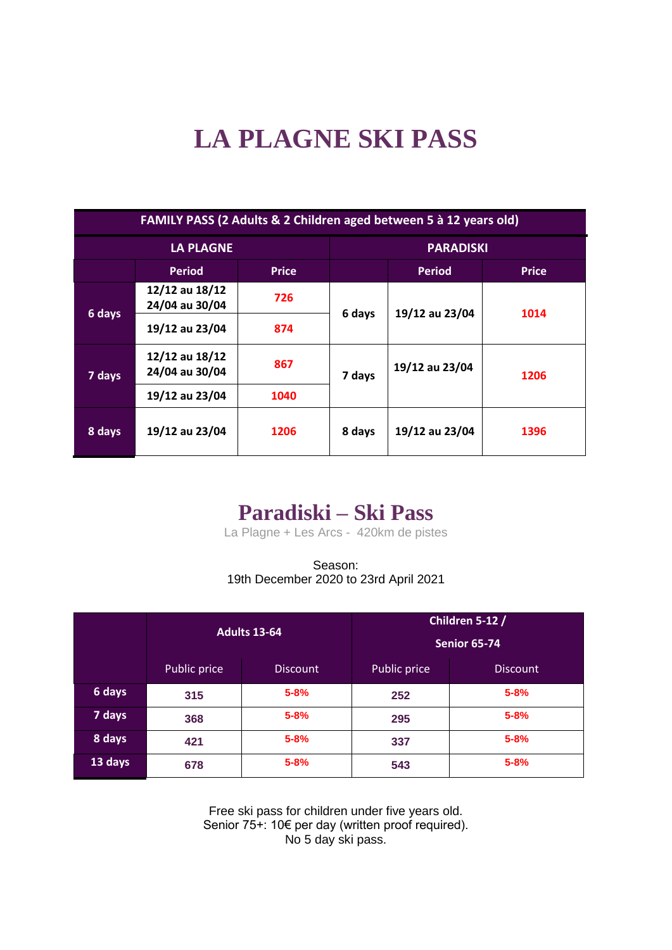# **LA PLAGNE SKI PASS**

| FAMILY PASS (2 Adults & 2 Children aged between 5 à 12 years old) |                                  |              |                  |                |              |  |  |
|-------------------------------------------------------------------|----------------------------------|--------------|------------------|----------------|--------------|--|--|
| <b>LA PLAGNE</b>                                                  |                                  |              | <b>PARADISKI</b> |                |              |  |  |
|                                                                   | <b>Period</b>                    | <b>Price</b> |                  | <b>Period</b>  | <b>Price</b> |  |  |
|                                                                   | 12/12 au 18/12<br>24/04 au 30/04 | 726          | 6 days           | 19/12 au 23/04 | 1014         |  |  |
| 6 days                                                            | 19/12 au 23/04                   | 874          |                  |                |              |  |  |
| 7 days                                                            | 12/12 au 18/12<br>24/04 au 30/04 | 867          | 7 days           | 19/12 au 23/04 | 1206         |  |  |
|                                                                   | 19/12 au 23/04                   | 1040         |                  |                |              |  |  |
| 8 days                                                            | 19/12 au 23/04                   | 1206         | 8 days           | 19/12 au 23/04 | 1396         |  |  |

## **Paradiski – Ski Pass**

La Plagne + Les Arcs - 420km de pistes

Season: 19th December 2020 to 23rd April 2021

|         |              | <b>Adults 13-64</b> | Children 5-12 /<br><b>Senior 65-74</b> |                 |  |
|---------|--------------|---------------------|----------------------------------------|-----------------|--|
|         | Public price | <b>Discount</b>     | Public price                           | <b>Discount</b> |  |
| 6 days  | 315          | $5 - 8%$            | 252                                    | $5 - 8%$        |  |
| 7 days  | 368          | $5 - 8%$            | 295                                    | $5 - 8%$        |  |
| 8 days  | 421          | $5 - 8%$            | 337                                    | $5 - 8%$        |  |
| 13 days | 678          | $5 - 8%$            | 543                                    | $5 - 8%$        |  |

Free ski pass for children under five years old. Senior 75+: 10€ per day (written proof required). No 5 day ski pass.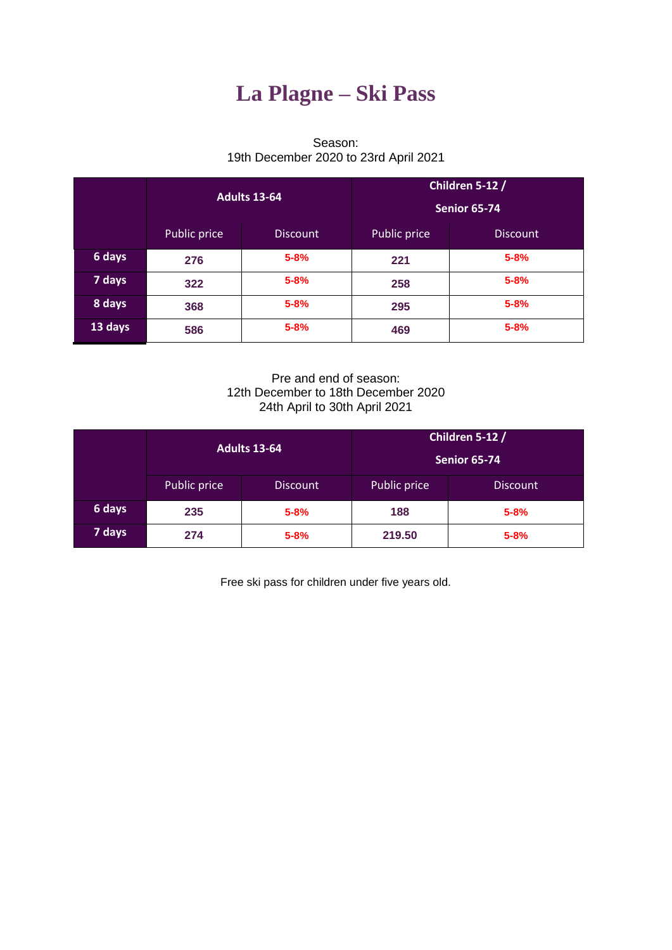# **La Plagne – Ski Pass**

#### Season: 19th December 2020 to 23rd April 2021

|         |              | <b>Adults 13-64</b> | Children 5-12 /<br><b>Senior 65-74</b> |                 |  |
|---------|--------------|---------------------|----------------------------------------|-----------------|--|
|         | Public price | <b>Discount</b>     | Public price                           | <b>Discount</b> |  |
| 6 days  | 276          | $5 - 8%$            | 221                                    | $5 - 8%$        |  |
| 7 days  | 322          | $5 - 8%$            | 258                                    | $5 - 8%$        |  |
| 8 days  | 368          | $5 - 8%$            | 295                                    | $5 - 8%$        |  |
| 13 days | 586          | $5 - 8%$            | 469                                    | $5 - 8%$        |  |

Pre and end of season: 12th December to 18th December 2020 24th April to 30th April 2021

|        |              | Adults 13-64    | Children 5-12 /<br>Senior 65-74 |                 |  |
|--------|--------------|-----------------|---------------------------------|-----------------|--|
|        | Public price | <b>Discount</b> | Public price                    | <b>Discount</b> |  |
| 6 days | 235          | $5 - 8%$        | 188                             | $5 - 8%$        |  |
| 7 days | 274          | $5 - 8%$        | 219.50                          | $5 - 8%$        |  |

Free ski pass for children under five years old.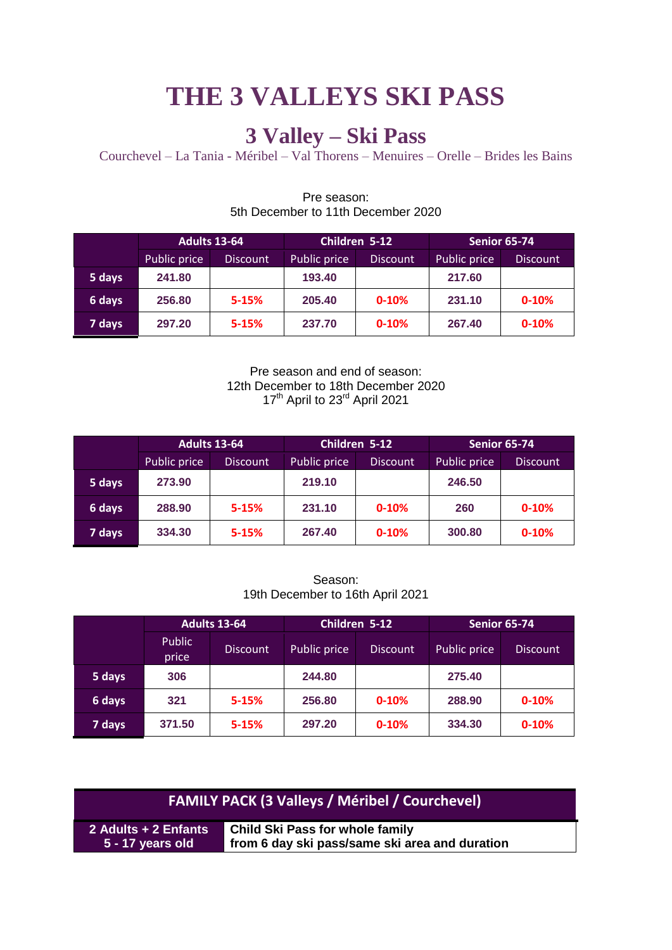# **THE 3 VALLEYS SKI PASS**

# **3 Valley – Ski Pass**

Courchevel – La Tania - Méribel – Val Thorens – Menuires – Orelle – Brides les Bains

|        | <b>Adults 13-64</b> |                 |              | Children 5-12   | <b>Senior 65-74</b> |                 |
|--------|---------------------|-----------------|--------------|-----------------|---------------------|-----------------|
|        | Public price        | <b>Discount</b> | Public price | <b>Discount</b> | Public price        | <b>Discount</b> |
| 5 days | 241.80              |                 | 193.40       |                 | 217.60              |                 |
| 6 days | 256.80              | $5 - 15%$       | 205.40       | $0 - 10%$       | 231.10              | $0 - 10%$       |
| 7 days | 297.20              | $5 - 15%$       | 237.70       | $0 - 10%$       | 267.40              | $0 - 10%$       |

#### Pre season: 5th December to 11th December 2020

Pre season and end of season: 12th December to 18th December 2020 17<sup>th</sup> April to 23<sup>rd</sup> April 2021

|        | <b>Adults 13-64</b> |                 |              | Children 5-12   | Senior 65-74 |                 |
|--------|---------------------|-----------------|--------------|-----------------|--------------|-----------------|
|        | Public price        | <b>Discount</b> | Public price | <b>Discount</b> | Public price | <b>Discount</b> |
| 5 days | 273.90              |                 | 219.10       |                 | 246.50       |                 |
| 6 days | 288.90              | $5 - 15%$       | 231.10       | $0 - 10%$       | 260          | $0 - 10%$       |
| 7 days | 334.30              | $5 - 15%$       | 267.40       | $0 - 10%$       | 300.80       | $0 - 10%$       |

Season: 19th December to 16th April 2021

|        | <b>Adults 13-64</b>    |                 |               | Children 5-12   | <b>Senior 65-74</b> |                 |
|--------|------------------------|-----------------|---------------|-----------------|---------------------|-----------------|
|        | <b>Public</b><br>price | <b>Discount</b> | Public price, | <b>Discount</b> | Public price        | <b>Discount</b> |
| 5 days | 306                    |                 | 244.80        |                 | 275.40              |                 |
| 6 days | 321                    | $5 - 15%$       | 256.80        | $0 - 10%$       | 288.90              | $0 - 10%$       |
| 7 days | 371.50                 | $5 - 15%$       | 297.20        | $0 - 10%$       | 334.30              | $0 - 10%$       |

| <b>FAMILY PACK (3 Valleys / Méribel / Courchevel)</b> |                                                |  |  |  |  |
|-------------------------------------------------------|------------------------------------------------|--|--|--|--|
| 2 Adults + 2 Enfants                                  | <b>Child Ski Pass for whole family</b>         |  |  |  |  |
| 5 - 17 years old                                      | from 6 day ski pass/same ski area and duration |  |  |  |  |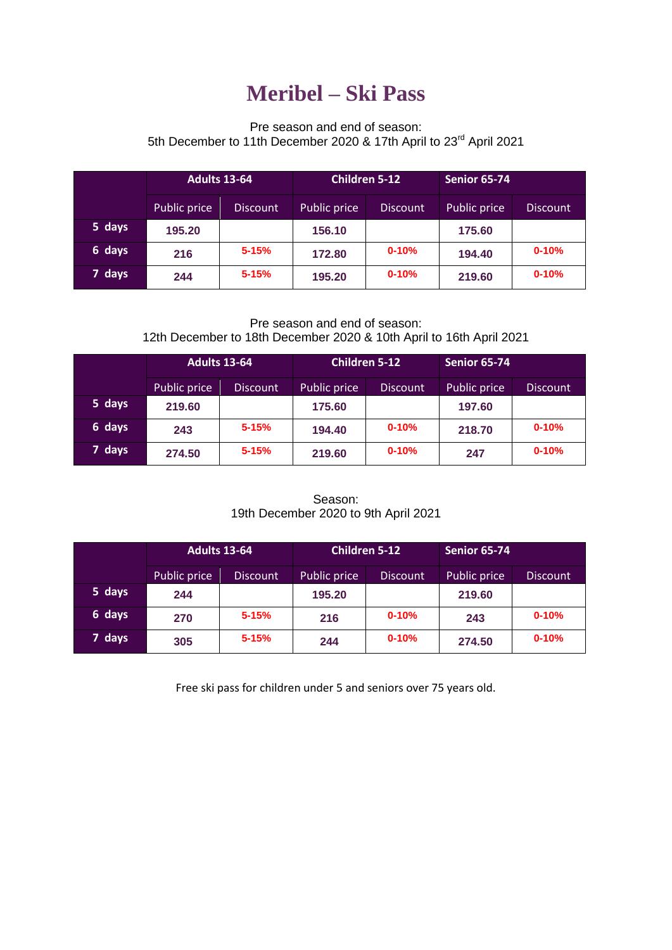## **Meribel – Ski Pass**

### Pre season and end of season: 5th December to 11th December 2020 & 17th April to 23rd April 2021

|        | <b>Adults 13-64</b> |                 | <b>Children 5-12</b> |                 | Senior 65-74 |                 |
|--------|---------------------|-----------------|----------------------|-----------------|--------------|-----------------|
|        | Public price        | <b>Discount</b> | Public price         | <b>Discount</b> | Public price | <b>Discount</b> |
| 5 days | 195.20              |                 | 156.10               |                 | 175.60       |                 |
| 6 days | 216                 | $5 - 15%$       | 172.80               | $0 - 10%$       | 194.40       | $0 - 10%$       |
| 7 days | 244                 | $5 - 15%$       | 195.20               | $0 - 10%$       | 219.60       | $0 - 10%$       |

#### Pre season and end of season: 12th December to 18th December 2020 & 10th April to 16th April 2021

|        | <b>Adults 13-64</b> |                 | <b>Children 5-12</b> |                 | <b>Senior 65-74</b> |                 |
|--------|---------------------|-----------------|----------------------|-----------------|---------------------|-----------------|
|        | Public price        | <b>Discount</b> | Public price         | <b>Discount</b> | Public price        | <b>Discount</b> |
| 5 days | 219.60              |                 | 175.60               |                 | 197.60              |                 |
| 6 days | 243                 | $5 - 15%$       | 194.40               | $0 - 10%$       | 218.70              | $0 - 10%$       |
| 7 days | 274.50              | $5 - 15%$       | 219.60               | $0 - 10%$       | 247                 | $0 - 10%$       |

#### Season: 19th December 2020 to 9th April 2021

|        | <b>Adults 13-64</b> |                 | <b>Children 5-12</b> |                 | <b>Senior 65-74</b> |                 |
|--------|---------------------|-----------------|----------------------|-----------------|---------------------|-----------------|
|        | Public price        | <b>Discount</b> | Public price         | <b>Discount</b> | Public price        | <b>Discount</b> |
| 5 days | 244                 |                 | 195.20               |                 | 219.60              |                 |
| 6 days | 270                 | $5 - 15%$       | 216                  | $0 - 10%$       | 243                 | $0 - 10%$       |
| 7 days | 305                 | $5 - 15%$       | 244                  | $0 - 10%$       | 274.50              | $0 - 10%$       |

Free ski pass for children under 5 and seniors over 75 years old.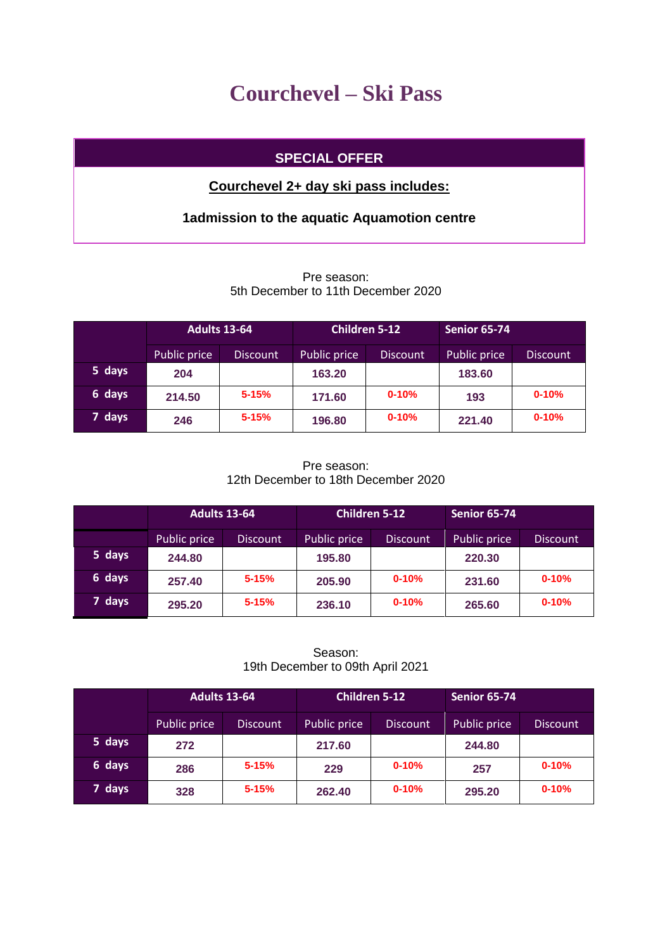## **Courchevel – Ski Pass**

### **SPECIAL OFFER**

### **Courchevel 2+ day ski pass includes:**

## **1admission to the aquatic Aquamotion centre**

### Pre season: 5th December to 11th December 2020

|        | <b>Adults 13-64</b> |                 | <b>Children 5-12</b> |                 | <b>Senior 65-74</b> |                 |
|--------|---------------------|-----------------|----------------------|-----------------|---------------------|-----------------|
|        | Public price        | <b>Discount</b> | Public price         | <b>Discount</b> | Public price        | <b>Discount</b> |
| 5 days | 204                 |                 | 163.20               |                 | 183.60              |                 |
| 6 days | 214.50              | $5 - 15%$       | 171.60               | $0 - 10%$       | 193                 | $0 - 10%$       |
| 7 days | 246                 | $5 - 15%$       | 196.80               | $0 - 10%$       | 221.40              | $0 - 10%$       |

#### Pre season: 12th December to 18th December 2020

|        | <b>Adults 13-64</b> |                 | <b>Children 5-12</b> |                 | <b>Senior 65-74</b> |                 |
|--------|---------------------|-----------------|----------------------|-----------------|---------------------|-----------------|
|        | Public price        | <b>Discount</b> | Public price         | <b>Discount</b> | Public price        | <b>Discount</b> |
| 5 days | 244.80              |                 | 195.80               |                 | 220.30              |                 |
| 6 days | 257.40              | $5 - 15%$       | 205.90               | $0 - 10%$       | 231.60              | $0 - 10%$       |
| 7 days | 295.20              | $5 - 15%$       | 236.10               | $0 - 10%$       | 265.60              | $0 - 10%$       |

#### Season: 19th December to 09th April 2021

|        | <b>Adults 13-64</b> |                 | <b>Children 5-12</b> |                 | <b>Senior 65-74</b> |           |
|--------|---------------------|-----------------|----------------------|-----------------|---------------------|-----------|
|        | Public price        | <b>Discount</b> | Public price         | <b>Discount</b> | Public price        | Discount  |
| 5 days | 272                 |                 | 217.60               |                 | 244.80              |           |
| 6 days | 286                 | $5 - 15%$       | 229                  | $0 - 10%$       | 257                 | $0 - 10%$ |
| 7 days | 328                 | $5 - 15%$       | 262.40               | $0 - 10%$       | 295.20              | $0 - 10%$ |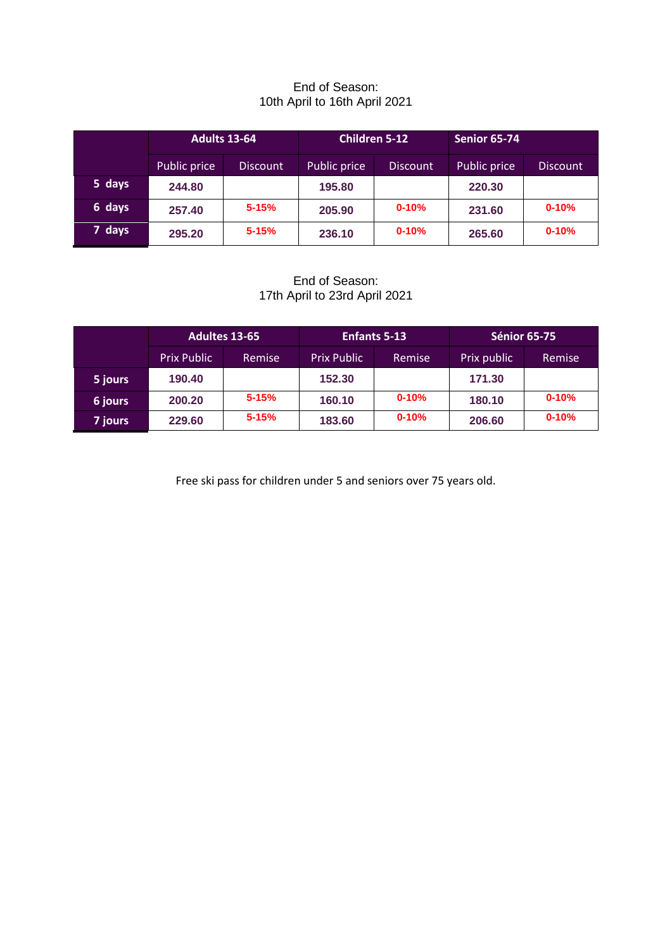#### End of Season: 10th April to 16th April 2021

|        | <b>Adults 13-64</b> |                 | <b>Children 5-12</b> |                 | <b>Senior 65-74</b> |                 |
|--------|---------------------|-----------------|----------------------|-----------------|---------------------|-----------------|
|        | Public price        | <b>Discount</b> | Public price         | <b>Discount</b> | Public price        | <b>Discount</b> |
| 5 days | 244.80              |                 | 195.80               |                 | 220.30              |                 |
| 6 days | 257.40              | $5 - 15%$       | 205.90               | $0 - 10%$       | 231.60              | $0 - 10%$       |
| 7 days | 295.20              | $5 - 15%$       | 236.10               | $0 - 10%$       | 265.60              | $0 - 10%$       |

End of Season: 17th April to 23rd April 2021

|                | <b>Adultes 13-65</b> |           | <b>Enfants 5-13</b> |           | <b>Sénior 65-75</b> |           |
|----------------|----------------------|-----------|---------------------|-----------|---------------------|-----------|
|                | <b>Prix Public</b>   | Remise    | <b>Prix Public</b>  | Remise    | Prix public         | Remise    |
| 5 jours        | 190.40               |           | 152.30              |           | 171.30              |           |
| 6 jours        | 200.20               | $5 - 15%$ | 160.10              | $0 - 10%$ | 180.10              | $0 - 10%$ |
| <b>7</b> jours | 229.60               | $5 - 15%$ | 183.60              | $0 - 10%$ | 206.60              | $0 - 10%$ |

Free ski pass for children under 5 and seniors over 75 years old.